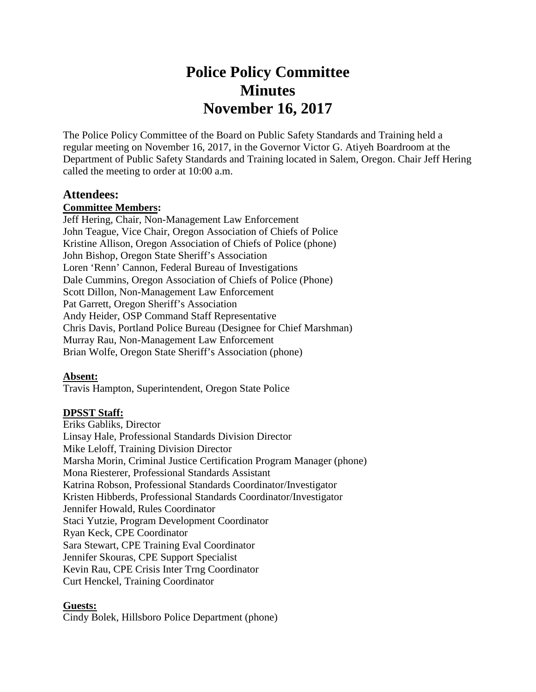# **Police Policy Committee Minutes November 16, 2017**

The Police Policy Committee of the Board on Public Safety Standards and Training held a regular meeting on November 16, 2017, in the Governor Victor G. Atiyeh Boardroom at the Department of Public Safety Standards and Training located in Salem, Oregon. Chair Jeff Hering called the meeting to order at 10:00 a.m.

## **Attendees:**

#### **Committee Members:**

Jeff Hering, Chair, Non-Management Law Enforcement John Teague, Vice Chair, Oregon Association of Chiefs of Police Kristine Allison, Oregon Association of Chiefs of Police (phone) John Bishop, Oregon State Sheriff's Association Loren 'Renn' Cannon, Federal Bureau of Investigations Dale Cummins, Oregon Association of Chiefs of Police (Phone) Scott Dillon, Non-Management Law Enforcement Pat Garrett, Oregon Sheriff's Association Andy Heider, OSP Command Staff Representative Chris Davis, Portland Police Bureau (Designee for Chief Marshman) Murray Rau, Non-Management Law Enforcement Brian Wolfe, Oregon State Sheriff's Association (phone)

## **Absent:**

Travis Hampton, Superintendent, Oregon State Police

#### **DPSST Staff:**

Eriks Gabliks, Director Linsay Hale, Professional Standards Division Director Mike Leloff, Training Division Director Marsha Morin, Criminal Justice Certification Program Manager (phone) Mona Riesterer, Professional Standards Assistant Katrina Robson, Professional Standards Coordinator/Investigator Kristen Hibberds, Professional Standards Coordinator/Investigator Jennifer Howald, Rules Coordinator Staci Yutzie, Program Development Coordinator Ryan Keck, CPE Coordinator Sara Stewart, CPE Training Eval Coordinator Jennifer Skouras, CPE Support Specialist Kevin Rau, CPE Crisis Inter Trng Coordinator Curt Henckel, Training Coordinator

#### **Guests:**

Cindy Bolek, Hillsboro Police Department (phone)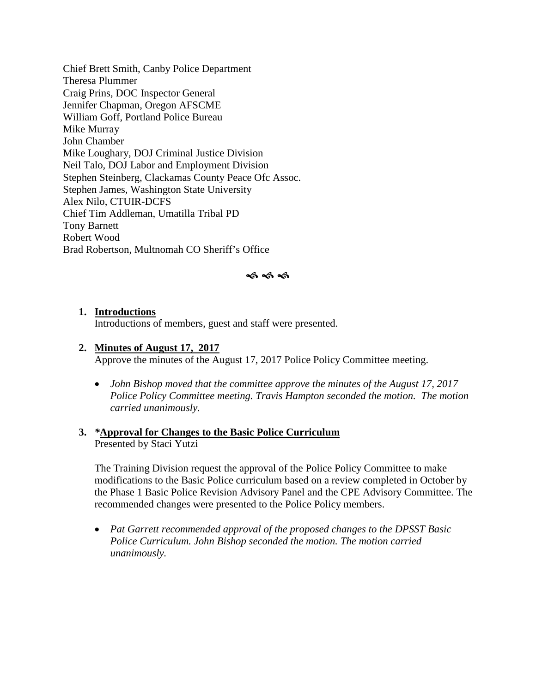Chief Brett Smith, Canby Police Department Theresa Plummer Craig Prins, DOC Inspector General Jennifer Chapman, Oregon AFSCME William Goff, Portland Police Bureau Mike Murray John Chamber Mike Loughary, DOJ Criminal Justice Division Neil Talo, DOJ Labor and Employment Division Stephen Steinberg, Clackamas County Peace Ofc Assoc. Stephen James, Washington State University Alex Nilo, CTUIR-DCFS Chief Tim Addleman, Umatilla Tribal PD Tony Barnett Robert Wood Brad Robertson, Multnomah CO Sheriff's Office

#### ≼ธ≼ธ≼ธ

#### **1. Introductions**

Introductions of members, guest and staff were presented.

#### **2. Minutes of August 17, 2017**

Approve the minutes of the August 17, 2017 Police Policy Committee meeting.

• *John Bishop moved that the committee approve the minutes of the August 17, 2017 Police Policy Committee meeting. Travis Hampton seconded the motion. The motion carried unanimously.*

#### **3.** *\****Approval for Changes to the Basic Police Curriculum**  Presented by Staci Yutzi

The Training Division request the approval of the Police Policy Committee to make modifications to the Basic Police curriculum based on a review completed in October by the Phase 1 Basic Police Revision Advisory Panel and the CPE Advisory Committee. The recommended changes were presented to the Police Policy members.

• *Pat Garrett recommended approval of the proposed changes to the DPSST Basic Police Curriculum. John Bishop seconded the motion. The motion carried unanimously.*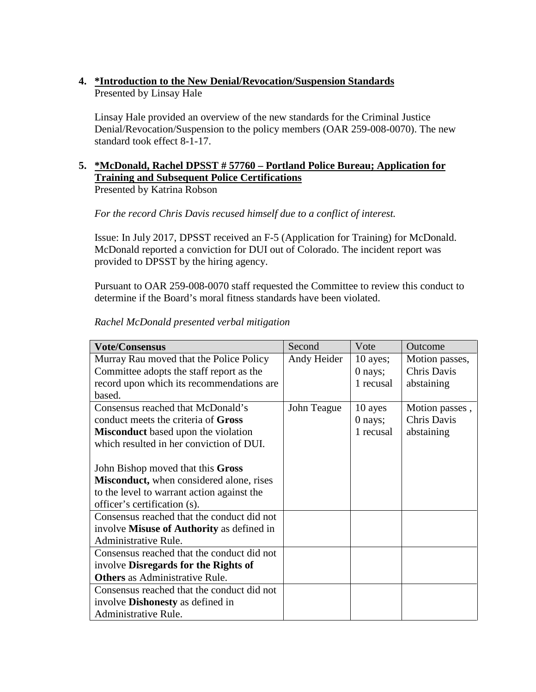# **4. \*Introduction to the New Denial/Revocation/Suspension Standards**  Presented by Linsay Hale

Linsay Hale provided an overview of the new standards for the Criminal Justice Denial/Revocation/Suspension to the policy members (OAR 259-008-0070). The new standard took effect 8-1-17.

#### **5. \*McDonald, Rachel DPSST # 57760 – Portland Police Bureau; Application for Training and Subsequent Police Certifications**  Presented by Katrina Robson

*For the record Chris Davis recused himself due to a conflict of interest.*

Issue: In July 2017, DPSST received an F-5 (Application for Training) for McDonald. McDonald reported a conviction for DUI out of Colorado. The incident report was provided to DPSST by the hiring agency.

Pursuant to OAR 259-008-0070 staff requested the Committee to review this conduct to determine if the Board's moral fitness standards have been violated.

| <b>Vote/Consensus</b>                            | Second      | Vote       | Outcome        |
|--------------------------------------------------|-------------|------------|----------------|
| Murray Rau moved that the Police Policy          | Andy Heider | $10$ ayes; | Motion passes, |
| Committee adopts the staff report as the         |             | 0 nays;    | Chris Davis    |
| record upon which its recommendations are        |             | 1 recusal  | abstaining     |
| based.                                           |             |            |                |
| Consensus reached that McDonald's                | John Teague | 10 ayes    | Motion passes, |
| conduct meets the criteria of Gross              |             | 0 nays;    | Chris Davis    |
| <b>Misconduct</b> based upon the violation       |             | 1 recusal  | abstaining     |
| which resulted in her conviction of DUI.         |             |            |                |
|                                                  |             |            |                |
| John Bishop moved that this Gross                |             |            |                |
| <b>Misconduct</b> , when considered alone, rises |             |            |                |
| to the level to warrant action against the       |             |            |                |
| officer's certification (s).                     |             |            |                |
| Consensus reached that the conduct did not       |             |            |                |
| involve Misuse of Authority as defined in        |             |            |                |
| Administrative Rule.                             |             |            |                |
| Consensus reached that the conduct did not       |             |            |                |
| involve Disregards for the Rights of             |             |            |                |
| <b>Others</b> as Administrative Rule.            |             |            |                |
| Consensus reached that the conduct did not       |             |            |                |
| involve <b>Dishonesty</b> as defined in          |             |            |                |
| Administrative Rule.                             |             |            |                |

## *Rachel McDonald presented verbal mitigation*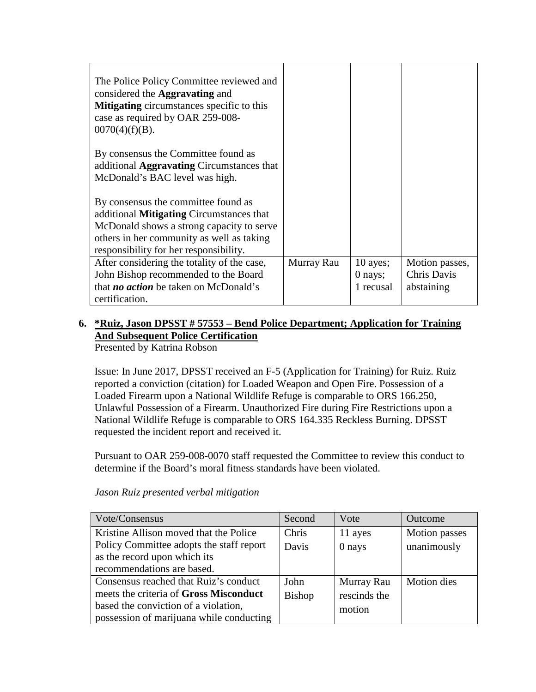| The Police Policy Committee reviewed and<br>considered the <b>Aggravating</b> and<br><b>Mitigating</b> circumstances specific to this<br>case as required by OAR 259-008-<br>$0070(4)(f)(B)$ . |            |                                      |                                             |
|------------------------------------------------------------------------------------------------------------------------------------------------------------------------------------------------|------------|--------------------------------------|---------------------------------------------|
| By consensus the Committee found as<br>additional <b>Aggravating</b> Circumstances that<br>McDonald's BAC level was high.                                                                      |            |                                      |                                             |
| By consensus the committee found as<br>additional <b>Mitigating</b> Circumstances that<br>McDonald shows a strong capacity to serve                                                            |            |                                      |                                             |
| others in her community as well as taking<br>responsibility for her responsibility.                                                                                                            |            |                                      |                                             |
| After considering the totality of the case,<br>John Bishop recommended to the Board<br>that <i>no action</i> be taken on McDonald's<br>certification.                                          | Murray Rau | $10$ ayes;<br>$0$ nays;<br>1 recusal | Motion passes,<br>Chris Davis<br>abstaining |

# **6. \*Ruiz, Jason DPSST # 57553 – Bend Police Department; Application for Training And Subsequent Police Certification**

Presented by Katrina Robson

Issue: In June 2017, DPSST received an F-5 (Application for Training) for Ruiz. Ruiz reported a conviction (citation) for Loaded Weapon and Open Fire. Possession of a Loaded Firearm upon a National Wildlife Refuge is comparable to ORS 166.250, Unlawful Possession of a Firearm. Unauthorized Fire during Fire Restrictions upon a National Wildlife Refuge is comparable to ORS 164.335 Reckless Burning. DPSST requested the incident report and received it.

Pursuant to OAR 259-008-0070 staff requested the Committee to review this conduct to determine if the Board's moral fitness standards have been violated.

| Vote/Consensus                           | Second        | Vote         | <b>Outcome</b>     |
|------------------------------------------|---------------|--------------|--------------------|
| Kristine Allison moved that the Police   | Chris         | 11 ayes      | Motion passes      |
| Policy Committee adopts the staff report | Davis         | 0 nays       | unanimously        |
| as the record upon which its             |               |              |                    |
| recommendations are based.               |               |              |                    |
| Consensus reached that Ruiz's conduct    | John          | Murray Rau   | <b>Motion</b> dies |
| meets the criteria of Gross Misconduct   | <b>Bishop</b> | rescinds the |                    |
| based the conviction of a violation,     |               | motion       |                    |
| possession of marijuana while conducting |               |              |                    |

*Jason Ruiz presented verbal mitigation*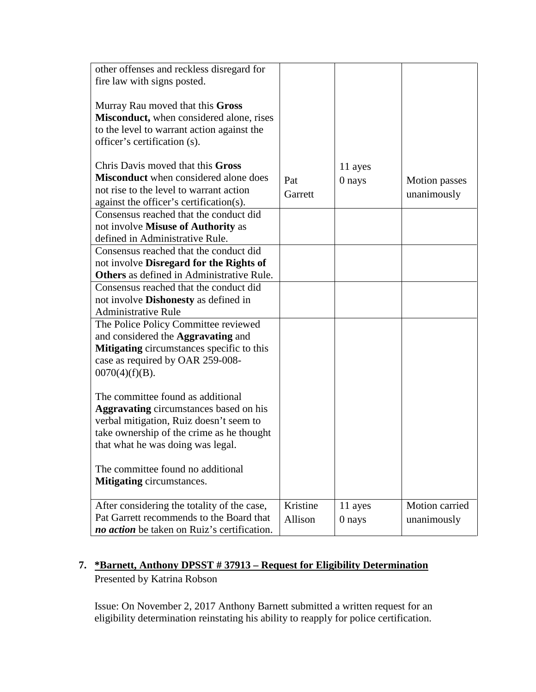| other offenses and reckless disregard for<br>fire law with signs posted.<br>Murray Rau moved that this Gross<br>Misconduct, when considered alone, rises |          |         |                      |
|----------------------------------------------------------------------------------------------------------------------------------------------------------|----------|---------|----------------------|
| to the level to warrant action against the<br>officer's certification (s).                                                                               |          |         |                      |
| Chris Davis moved that this Gross                                                                                                                        |          | 11 ayes |                      |
| <b>Misconduct</b> when considered alone does                                                                                                             | Pat      | 0 nays  | <b>Motion</b> passes |
| not rise to the level to warrant action                                                                                                                  | Garrett  |         | unanimously          |
| against the officer's certification(s).                                                                                                                  |          |         |                      |
| Consensus reached that the conduct did                                                                                                                   |          |         |                      |
| not involve Misuse of Authority as                                                                                                                       |          |         |                      |
| defined in Administrative Rule.                                                                                                                          |          |         |                      |
| Consensus reached that the conduct did                                                                                                                   |          |         |                      |
| not involve Disregard for the Rights of                                                                                                                  |          |         |                      |
| <b>Others</b> as defined in Administrative Rule.                                                                                                         |          |         |                      |
| Consensus reached that the conduct did                                                                                                                   |          |         |                      |
| not involve <b>Dishonesty</b> as defined in                                                                                                              |          |         |                      |
| <b>Administrative Rule</b>                                                                                                                               |          |         |                      |
| The Police Policy Committee reviewed                                                                                                                     |          |         |                      |
| and considered the Aggravating and                                                                                                                       |          |         |                      |
| <b>Mitigating</b> circumstances specific to this                                                                                                         |          |         |                      |
| case as required by OAR 259-008-                                                                                                                         |          |         |                      |
| $0070(4)(f)(B)$ .                                                                                                                                        |          |         |                      |
| The committee found as additional                                                                                                                        |          |         |                      |
| <b>Aggravating</b> circumstances based on his                                                                                                            |          |         |                      |
| verbal mitigation, Ruiz doesn't seem to                                                                                                                  |          |         |                      |
| take ownership of the crime as he thought                                                                                                                |          |         |                      |
| that what he was doing was legal.                                                                                                                        |          |         |                      |
|                                                                                                                                                          |          |         |                      |
| The committee found no additional                                                                                                                        |          |         |                      |
| <b>Mitigating</b> circumstances.                                                                                                                         |          |         |                      |
|                                                                                                                                                          |          |         |                      |
| After considering the totality of the case,                                                                                                              | Kristine | 11 ayes | Motion carried       |
| Pat Garrett recommends to the Board that                                                                                                                 | Allison  | 0 nays  | unanimously          |
| no action be taken on Ruiz's certification.                                                                                                              |          |         |                      |

# **7. \*Barnett, Anthony DPSST # 37913 – Request for Eligibility Determination**  Presented by Katrina Robson

Issue: On November 2, 2017 Anthony Barnett submitted a written request for an eligibility determination reinstating his ability to reapply for police certification.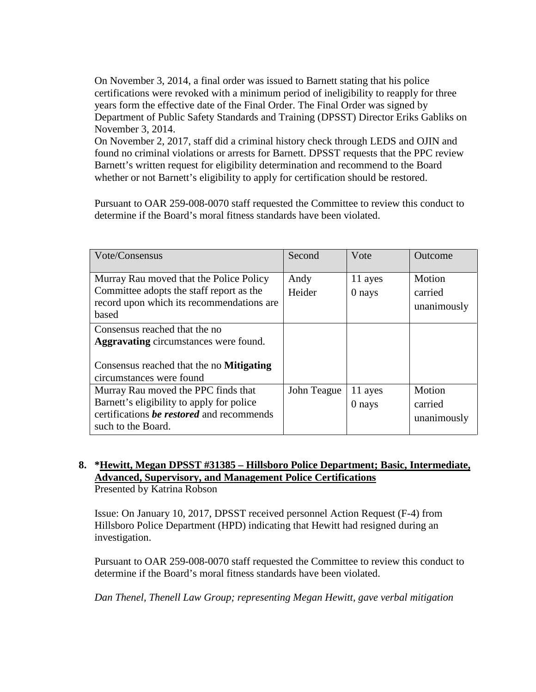On November 3, 2014, a final order was issued to Barnett stating that his police certifications were revoked with a minimum period of ineligibility to reapply for three years form the effective date of the Final Order. The Final Order was signed by Department of Public Safety Standards and Training (DPSST) Director Eriks Gabliks on November 3, 2014.

On November 2, 2017, staff did a criminal history check through LEDS and OJIN and found no criminal violations or arrests for Barnett. DPSST requests that the PPC review Barnett's written request for eligibility determination and recommend to the Board whether or not Barnett's eligibility to apply for certification should be restored.

Pursuant to OAR 259-008-0070 staff requested the Committee to review this conduct to determine if the Board's moral fitness standards have been violated.

| Vote/Consensus                                                                                                                                               | Second         | Vote              | Outcome                          |
|--------------------------------------------------------------------------------------------------------------------------------------------------------------|----------------|-------------------|----------------------------------|
| Murray Rau moved that the Police Policy<br>Committee adopts the staff report as the<br>record upon which its recommendations are<br>based                    | Andy<br>Heider | 11 ayes<br>0 nays | Motion<br>carried<br>unanimously |
| Consensus reached that the no<br><b>Aggravating</b> circumstances were found.<br>Consensus reached that the no <b>Mitigating</b><br>circumstances were found |                |                   |                                  |
| Murray Rau moved the PPC finds that<br>Barnett's eligibility to apply for police<br>certifications be restored and recommends<br>such to the Board.          | John Teague    | 11 ayes<br>0 nays | Motion<br>carried<br>unanimously |

## **8. \*Hewitt, Megan DPSST #31385 – Hillsboro Police Department; Basic, Intermediate, Advanced, Supervisory, and Management Police Certifications** Presented by Katrina Robson

Issue: On January 10, 2017, DPSST received personnel Action Request (F-4) from Hillsboro Police Department (HPD) indicating that Hewitt had resigned during an investigation.

Pursuant to OAR 259-008-0070 staff requested the Committee to review this conduct to determine if the Board's moral fitness standards have been violated.

*Dan Thenel, Thenell Law Group; representing Megan Hewitt, gave verbal mitigation*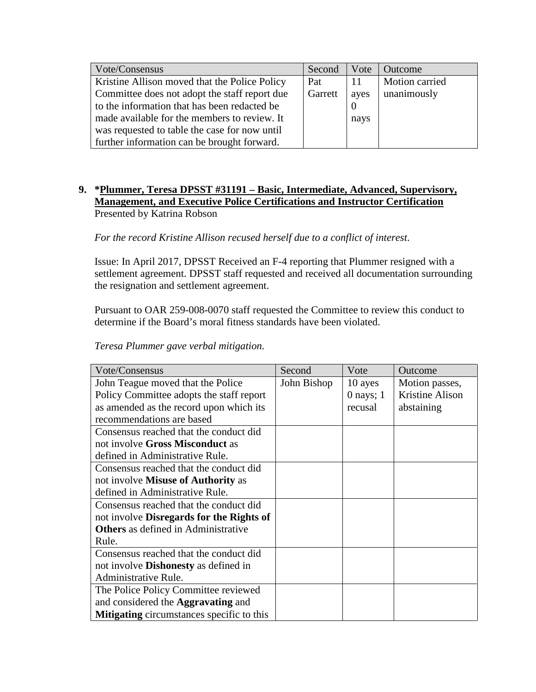| Vote/Consensus                                | Second  | Vote | Outcome        |
|-----------------------------------------------|---------|------|----------------|
| Kristine Allison moved that the Police Policy | Pat     | 11   | Motion carried |
| Committee does not adopt the staff report due | Garrett | ayes | unanimously    |
| to the information that has been redacted be  |         |      |                |
| made available for the members to review. It  |         | nays |                |
| was requested to table the case for now until |         |      |                |
| further information can be brought forward.   |         |      |                |

# **9. \*Plummer, Teresa DPSST #31191 – Basic, Intermediate, Advanced, Supervisory, Management, and Executive Police Certifications and Instructor Certification** Presented by Katrina Robson

*For the record Kristine Allison recused herself due to a conflict of interest*.

Issue: In April 2017, DPSST Received an F-4 reporting that Plummer resigned with a settlement agreement. DPSST staff requested and received all documentation surrounding the resignation and settlement agreement.

Pursuant to OAR 259-008-0070 staff requested the Committee to review this conduct to determine if the Board's moral fitness standards have been violated.

*Teresa Plummer gave verbal mitigation.* 

| Vote/Consensus                                   | Second      | Vote          | Outcome                |
|--------------------------------------------------|-------------|---------------|------------------------|
| John Teague moved that the Police                | John Bishop | 10 ayes       | Motion passes,         |
| Policy Committee adopts the staff report         |             | $0$ nays; $1$ | <b>Kristine Alison</b> |
| as amended as the record upon which its          |             | recusal       | abstaining             |
| recommendations are based                        |             |               |                        |
| Consensus reached that the conduct did           |             |               |                        |
| not involve Gross Misconduct as                  |             |               |                        |
| defined in Administrative Rule.                  |             |               |                        |
| Consensus reached that the conduct did           |             |               |                        |
| not involve <b>Misuse of Authority</b> as        |             |               |                        |
| defined in Administrative Rule.                  |             |               |                        |
| Consensus reached that the conduct did           |             |               |                        |
| not involve <b>Disregards for the Rights of</b>  |             |               |                        |
| <b>Others</b> as defined in Administrative       |             |               |                        |
| Rule.                                            |             |               |                        |
| Consensus reached that the conduct did           |             |               |                        |
| not involve <b>Dishonesty</b> as defined in      |             |               |                        |
| Administrative Rule.                             |             |               |                        |
| The Police Policy Committee reviewed             |             |               |                        |
| and considered the <b>Aggravating</b> and        |             |               |                        |
| <b>Mitigating</b> circumstances specific to this |             |               |                        |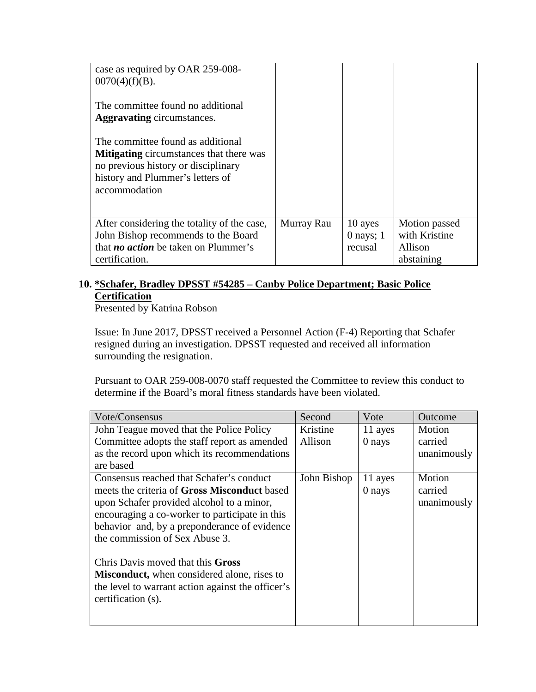| case as required by OAR 259-008-<br>$0070(4)(f)(B)$ .<br>The committee found no additional<br><b>Aggravating circumstances.</b><br>The committee found as additional<br><b>Mitigating</b> circumstances that there was<br>no previous history or disciplinary<br>history and Plummer's letters of<br>accommodation |            |                        |                                |
|--------------------------------------------------------------------------------------------------------------------------------------------------------------------------------------------------------------------------------------------------------------------------------------------------------------------|------------|------------------------|--------------------------------|
| After considering the totality of the case,<br>John Bishop recommends to the Board                                                                                                                                                                                                                                 | Murray Rau | 10 ayes<br>$0$ nays; 1 | Motion passed<br>with Kristine |
| that <i>no action</i> be taken on Plummer's                                                                                                                                                                                                                                                                        |            | recusal                | Allison                        |
| certification.                                                                                                                                                                                                                                                                                                     |            |                        | abstaining                     |

# **10. \*Schafer, Bradley DPSST #54285 – Canby Police Department; Basic Police Certification**

Presented by Katrina Robson

Issue: In June 2017, DPSST received a Personnel Action (F-4) Reporting that Schafer resigned during an investigation. DPSST requested and received all information surrounding the resignation.

| Vote/Consensus                                      | Second      | Vote    | Outcome     |
|-----------------------------------------------------|-------------|---------|-------------|
| John Teague moved that the Police Policy            | Kristine    | 11 ayes | Motion      |
| Committee adopts the staff report as amended        | Allison     | 0 nays  | carried     |
| as the record upon which its recommendations        |             |         | unanimously |
| are based                                           |             |         |             |
| Consensus reached that Schafer's conduct            | John Bishop | 11 ayes | Motion      |
| meets the criteria of <b>Gross Misconduct</b> based |             | 0 nays  | carried     |
| upon Schafer provided alcohol to a minor,           |             |         | unanimously |
| encouraging a co-worker to participate in this      |             |         |             |
| behavior and, by a preponderance of evidence        |             |         |             |
| the commission of Sex Abuse 3.                      |             |         |             |
|                                                     |             |         |             |
| Chris Davis moved that this Gross                   |             |         |             |
| <b>Misconduct</b> , when considered alone, rises to |             |         |             |
| the level to warrant action against the officer's   |             |         |             |
| certification (s).                                  |             |         |             |
|                                                     |             |         |             |
|                                                     |             |         |             |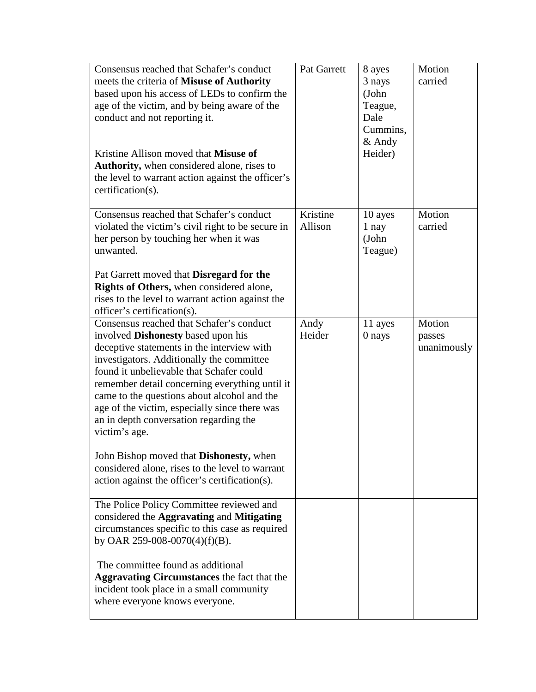| Consensus reached that Schafer's conduct<br>meets the criteria of Misuse of Authority<br>based upon his access of LEDs to confirm the<br>age of the victim, and by being aware of the<br>conduct and not reporting it.<br>Kristine Allison moved that Misuse of<br>Authority, when considered alone, rises to<br>the level to warrant action against the officer's<br>certification(s).                                                                           | Pat Garrett         | 8 ayes<br>3 nays<br>(John<br>Teague,<br>Dale<br>Cummins,<br>$&$ Andy<br>Heider) | Motion<br>carried               |
|-------------------------------------------------------------------------------------------------------------------------------------------------------------------------------------------------------------------------------------------------------------------------------------------------------------------------------------------------------------------------------------------------------------------------------------------------------------------|---------------------|---------------------------------------------------------------------------------|---------------------------------|
| Consensus reached that Schafer's conduct<br>violated the victim's civil right to be secure in<br>her person by touching her when it was<br>unwanted.<br>Pat Garrett moved that Disregard for the                                                                                                                                                                                                                                                                  | Kristine<br>Allison | 10 ayes<br>1 nay<br>(John<br>Teague)                                            | Motion<br>carried               |
| Rights of Others, when considered alone,<br>rises to the level to warrant action against the                                                                                                                                                                                                                                                                                                                                                                      |                     |                                                                                 |                                 |
| officer's certification(s).<br>Consensus reached that Schafer's conduct<br>involved Dishonesty based upon his<br>deceptive statements in the interview with<br>investigators. Additionally the committee<br>found it unbelievable that Schafer could<br>remember detail concerning everything until it<br>came to the questions about alcohol and the<br>age of the victim, especially since there was<br>an in depth conversation regarding the<br>victim's age. | Andy<br>Heider      | 11 ayes<br>0 nays                                                               | Motion<br>passes<br>unanimously |
| John Bishop moved that Dishonesty, when<br>considered alone, rises to the level to warrant<br>action against the officer's certification(s).                                                                                                                                                                                                                                                                                                                      |                     |                                                                                 |                                 |
| The Police Policy Committee reviewed and<br>considered the Aggravating and Mitigating<br>circumstances specific to this case as required<br>by OAR 259-008-0070(4)(f)(B).                                                                                                                                                                                                                                                                                         |                     |                                                                                 |                                 |
| The committee found as additional<br><b>Aggravating Circumstances</b> the fact that the<br>incident took place in a small community<br>where everyone knows everyone.                                                                                                                                                                                                                                                                                             |                     |                                                                                 |                                 |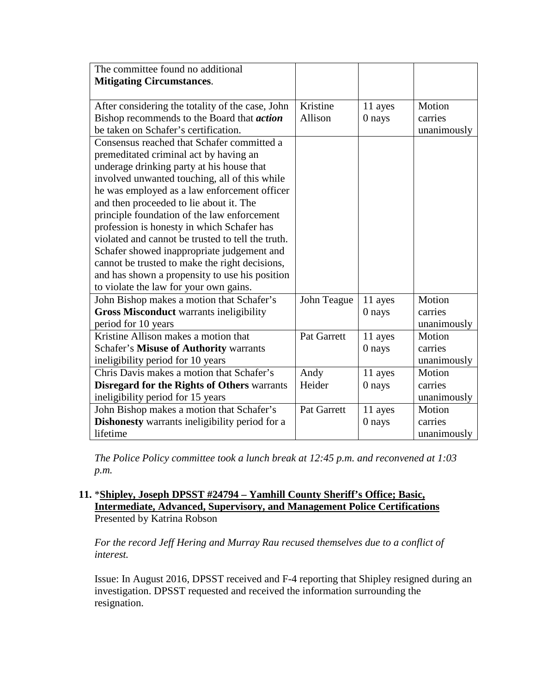| The committee found no additional                     |                    |         |             |
|-------------------------------------------------------|--------------------|---------|-------------|
| <b>Mitigating Circumstances.</b>                      |                    |         |             |
|                                                       |                    |         |             |
| After considering the totality of the case, John      | Kristine           | 11 ayes | Motion      |
| Bishop recommends to the Board that <i>action</i>     | Allison            | 0 nays  | carries     |
| be taken on Schafer's certification.                  |                    |         | unanimously |
| Consensus reached that Schafer committed a            |                    |         |             |
| premeditated criminal act by having an                |                    |         |             |
| underage drinking party at his house that             |                    |         |             |
| involved unwanted touching, all of this while         |                    |         |             |
| he was employed as a law enforcement officer          |                    |         |             |
| and then proceeded to lie about it. The               |                    |         |             |
| principle foundation of the law enforcement           |                    |         |             |
| profession is honesty in which Schafer has            |                    |         |             |
| violated and cannot be trusted to tell the truth.     |                    |         |             |
| Schafer showed inappropriate judgement and            |                    |         |             |
| cannot be trusted to make the right decisions,        |                    |         |             |
| and has shown a propensity to use his position        |                    |         |             |
| to violate the law for your own gains.                |                    |         |             |
| John Bishop makes a motion that Schafer's             | John Teague        | 11 ayes | Motion      |
| <b>Gross Misconduct warrants ineligibility</b>        |                    | 0 nays  | carries     |
| period for 10 years                                   |                    |         | unanimously |
| Kristine Allison makes a motion that                  | <b>Pat Garrett</b> | 11 ayes | Motion      |
| <b>Schafer's Misuse of Authority warrants</b>         |                    | 0 nays  | carries     |
| ineligibility period for 10 years                     |                    |         | unanimously |
| Chris Davis makes a motion that Schafer's             | Andy               | 11 ayes | Motion      |
| <b>Disregard for the Rights of Others warrants</b>    | Heider             | 0 nays  | carries     |
| ineligibility period for 15 years                     |                    |         | unanimously |
| John Bishop makes a motion that Schafer's             | <b>Pat Garrett</b> | 11 ayes | Motion      |
| <b>Dishonesty</b> warrants ineligibility period for a |                    | 0 nays  | carries     |
| lifetime                                              |                    |         | unanimously |

*The Police Policy committee took a lunch break at 12:45 p.m. and reconvened at 1:03 p.m.* 

## **11.** \***Shipley, Joseph DPSST #24794 – Yamhill County Sheriff's Office; Basic, Intermediate, Advanced, Supervisory, and Management Police Certifications** Presented by Katrina Robson

*For the record Jeff Hering and Murray Rau recused themselves due to a conflict of interest.*

Issue: In August 2016, DPSST received and F-4 reporting that Shipley resigned during an investigation. DPSST requested and received the information surrounding the resignation.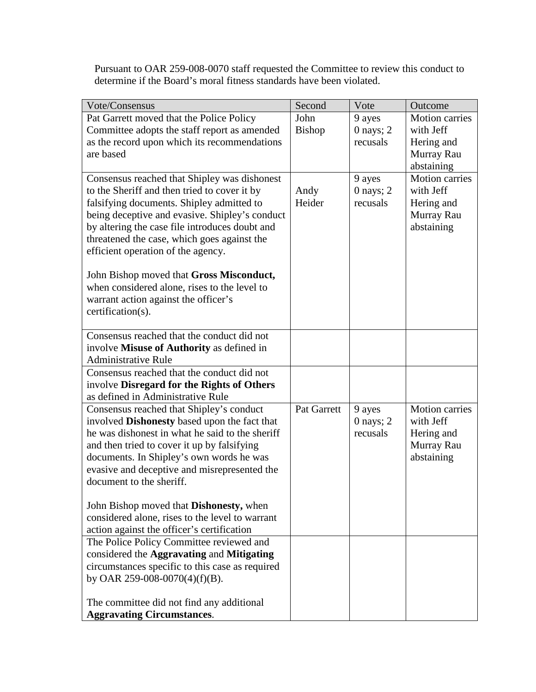| Vote/Consensus                                      | Second        | Vote          | Outcome               |
|-----------------------------------------------------|---------------|---------------|-----------------------|
| Pat Garrett moved that the Police Policy            | John          | 9 ayes        | Motion carries        |
| Committee adopts the staff report as amended        | <b>Bishop</b> | $0$ nays; $2$ | with Jeff             |
| as the record upon which its recommendations        |               | recusals      | Hering and            |
| are based                                           |               |               | Murray Rau            |
|                                                     |               |               | abstaining            |
| Consensus reached that Shipley was dishonest        |               | 9 ayes        | <b>Motion carries</b> |
| to the Sheriff and then tried to cover it by        | Andy          | $0$ nays; $2$ | with Jeff             |
| falsifying documents. Shipley admitted to           | Heider        | recusals      | Hering and            |
| being deceptive and evasive. Shipley's conduct      |               |               | Murray Rau            |
| by altering the case file introduces doubt and      |               |               | abstaining            |
| threatened the case, which goes against the         |               |               |                       |
| efficient operation of the agency.                  |               |               |                       |
|                                                     |               |               |                       |
| John Bishop moved that Gross Misconduct,            |               |               |                       |
| when considered alone, rises to the level to        |               |               |                       |
| warrant action against the officer's                |               |               |                       |
| certification(s).                                   |               |               |                       |
| Consensus reached that the conduct did not          |               |               |                       |
| involve Misuse of Authority as defined in           |               |               |                       |
| <b>Administrative Rule</b>                          |               |               |                       |
| Consensus reached that the conduct did not          |               |               |                       |
| involve Disregard for the Rights of Others          |               |               |                       |
| as defined in Administrative Rule                   |               |               |                       |
| Consensus reached that Shipley's conduct            | Pat Garrett   | 9 ayes        | <b>Motion carries</b> |
| involved <b>Dishonesty</b> based upon the fact that |               | $0$ nays; $2$ | with Jeff             |
| he was dishonest in what he said to the sheriff     |               | recusals      | Hering and            |
| and then tried to cover it up by falsifying         |               |               | Murray Rau            |
| documents. In Shipley's own words he was            |               |               | abstaining            |
| evasive and deceptive and misrepresented the        |               |               |                       |
| document to the sheriff.                            |               |               |                       |
|                                                     |               |               |                       |
| John Bishop moved that <b>Dishonesty</b> , when     |               |               |                       |
| considered alone, rises to the level to warrant     |               |               |                       |
| action against the officer's certification          |               |               |                       |
| The Police Policy Committee reviewed and            |               |               |                       |
| considered the Aggravating and Mitigating           |               |               |                       |
| circumstances specific to this case as required     |               |               |                       |
| by OAR 259-008-0070(4)(f)(B).                       |               |               |                       |
|                                                     |               |               |                       |
| The committee did not find any additional           |               |               |                       |
| <b>Aggravating Circumstances.</b>                   |               |               |                       |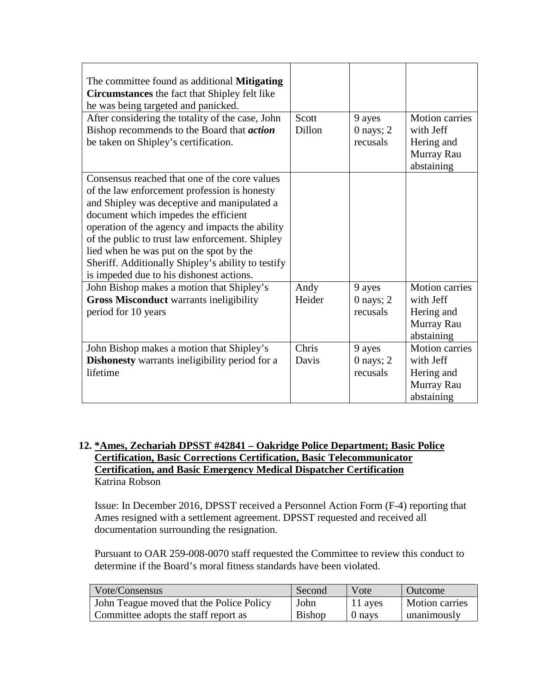| The committee found as additional <b>Mitigating</b><br>Circumstances the fact that Shipley felt like<br>he was being targeted and panicked. |        |               |                       |
|---------------------------------------------------------------------------------------------------------------------------------------------|--------|---------------|-----------------------|
| After considering the totality of the case, John                                                                                            | Scott  | 9 ayes        | <b>Motion carries</b> |
| Bishop recommends to the Board that <i>action</i>                                                                                           | Dillon | $0$ nays; $2$ | with Jeff             |
| be taken on Shipley's certification.                                                                                                        |        | recusals      | Hering and            |
|                                                                                                                                             |        |               | Murray Rau            |
|                                                                                                                                             |        |               | abstaining            |
| Consensus reached that one of the core values                                                                                               |        |               |                       |
| of the law enforcement profession is honesty                                                                                                |        |               |                       |
| and Shipley was deceptive and manipulated a                                                                                                 |        |               |                       |
| document which impedes the efficient                                                                                                        |        |               |                       |
| operation of the agency and impacts the ability                                                                                             |        |               |                       |
| of the public to trust law enforcement. Shipley                                                                                             |        |               |                       |
| lied when he was put on the spot by the                                                                                                     |        |               |                       |
| Sheriff. Additionally Shipley's ability to testify                                                                                          |        |               |                       |
| is impeded due to his dishonest actions.                                                                                                    |        |               |                       |
| John Bishop makes a motion that Shipley's                                                                                                   | Andy   | 9 ayes        | <b>Motion</b> carries |
| <b>Gross Misconduct warrants ineligibility</b>                                                                                              | Heider | $0$ nays; $2$ | with Jeff             |
| period for 10 years                                                                                                                         |        | recusals      | Hering and            |
|                                                                                                                                             |        |               | Murray Rau            |
|                                                                                                                                             |        |               | abstaining            |
| John Bishop makes a motion that Shipley's                                                                                                   | Chris  | 9 ayes        | Motion carries        |
| <b>Dishonesty</b> warrants ineligibility period for a                                                                                       | Davis  | $0$ nays; $2$ | with Jeff             |
| lifetime                                                                                                                                    |        | recusals      | Hering and            |
|                                                                                                                                             |        |               | Murray Rau            |
|                                                                                                                                             |        |               | abstaining            |

# **12. \*Ames, Zechariah DPSST #42841 – Oakridge Police Department; Basic Police Certification, Basic Corrections Certification, Basic Telecommunicator Certification, and Basic Emergency Medical Dispatcher Certification** Katrina Robson

Issue: In December 2016, DPSST received a Personnel Action Form (F-4) reporting that Ames resigned with a settlement agreement. DPSST requested and received all documentation surrounding the resignation.

| Vote/Consensus                           | Second        | Vote    | Outcome               |
|------------------------------------------|---------------|---------|-----------------------|
| John Teague moved that the Police Policy | John          | 11 ayes | <b>Motion carries</b> |
| Committee adopts the staff report as     | <b>Bishop</b> | 0 nays  | unanimously           |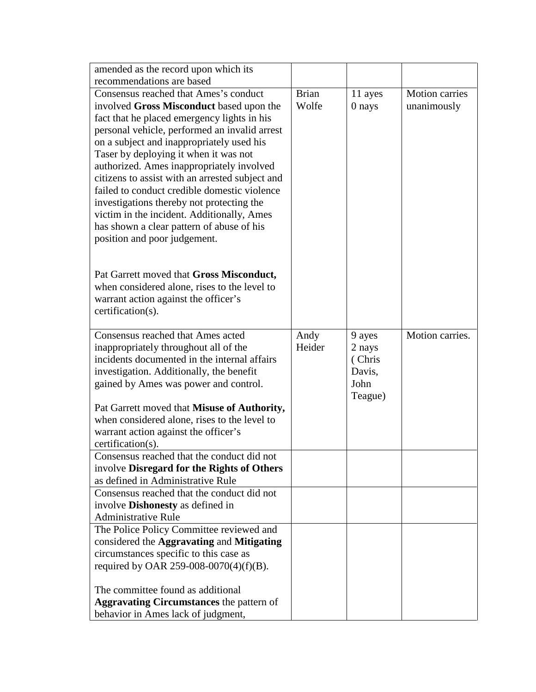| amended as the record upon which its                                                    |              |         |                       |
|-----------------------------------------------------------------------------------------|--------------|---------|-----------------------|
| recommendations are based                                                               |              |         |                       |
| Consensus reached that Ames's conduct                                                   | <b>Brian</b> | 11 ayes | <b>Motion carries</b> |
| involved Gross Misconduct based upon the                                                | Wolfe        | 0 nays  | unanimously           |
| fact that he placed emergency lights in his                                             |              |         |                       |
| personal vehicle, performed an invalid arrest                                           |              |         |                       |
| on a subject and inappropriately used his                                               |              |         |                       |
| Taser by deploying it when it was not                                                   |              |         |                       |
| authorized. Ames inappropriately involved                                               |              |         |                       |
| citizens to assist with an arrested subject and                                         |              |         |                       |
| failed to conduct credible domestic violence                                            |              |         |                       |
| investigations thereby not protecting the                                               |              |         |                       |
| victim in the incident. Additionally, Ames<br>has shown a clear pattern of abuse of his |              |         |                       |
| position and poor judgement.                                                            |              |         |                       |
|                                                                                         |              |         |                       |
|                                                                                         |              |         |                       |
| Pat Garrett moved that Gross Misconduct,                                                |              |         |                       |
| when considered alone, rises to the level to                                            |              |         |                       |
| warrant action against the officer's                                                    |              |         |                       |
| certification(s).                                                                       |              |         |                       |
|                                                                                         |              |         |                       |
| Consensus reached that Ames acted                                                       | Andy         | 9 ayes  | Motion carries.       |
| inappropriately throughout all of the                                                   | Heider       | 2 nays  |                       |
| incidents documented in the internal affairs                                            |              | (Chris  |                       |
| investigation. Additionally, the benefit                                                |              | Davis,  |                       |
| gained by Ames was power and control.                                                   |              | John    |                       |
| Pat Garrett moved that Misuse of Authority,                                             |              | Teague) |                       |
| when considered alone, rises to the level to                                            |              |         |                       |
| warrant action against the officer's                                                    |              |         |                       |
| certification(s).                                                                       |              |         |                       |
| Consensus reached that the conduct did not                                              |              |         |                       |
| involve Disregard for the Rights of Others                                              |              |         |                       |
| as defined in Administrative Rule                                                       |              |         |                       |
| Consensus reached that the conduct did not                                              |              |         |                       |
| involve <b>Dishonesty</b> as defined in                                                 |              |         |                       |
| <b>Administrative Rule</b>                                                              |              |         |                       |
| The Police Policy Committee reviewed and                                                |              |         |                       |
| considered the Aggravating and Mitigating                                               |              |         |                       |
| circumstances specific to this case as                                                  |              |         |                       |
| required by OAR 259-008-0070(4)(f)(B).                                                  |              |         |                       |
| The committee found as additional                                                       |              |         |                       |
|                                                                                         |              |         |                       |
| <b>Aggravating Circumstances</b> the pattern of                                         |              |         |                       |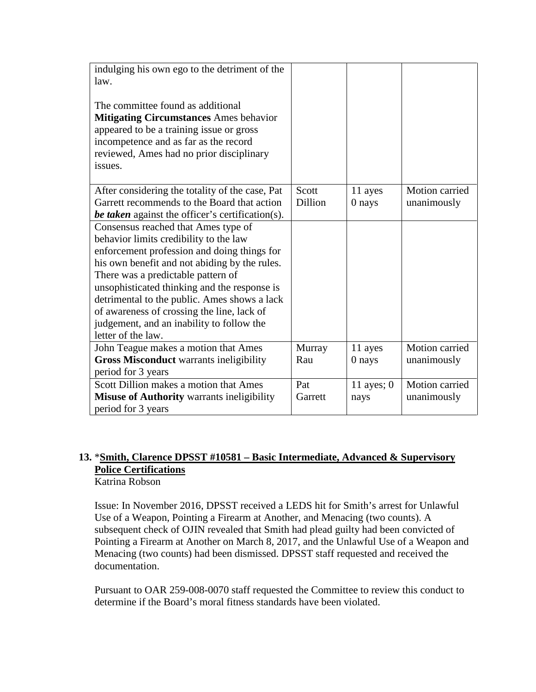| indulging his own ego to the detriment of the           |                |              |                |
|---------------------------------------------------------|----------------|--------------|----------------|
| law.                                                    |                |              |                |
| The committee found as additional                       |                |              |                |
| <b>Mitigating Circumstances Ames behavior</b>           |                |              |                |
| appeared to be a training issue or gross                |                |              |                |
| incompetence and as far as the record                   |                |              |                |
| reviewed, Ames had no prior disciplinary                |                |              |                |
| issues.                                                 |                |              |                |
|                                                         |                |              |                |
| After considering the totality of the case, Pat         | Scott          | 11 ayes      | Motion carried |
| Garrett recommends to the Board that action             | <b>Dillion</b> | 0 nays       | unanimously    |
| <b>be taken</b> against the officer's certification(s). |                |              |                |
| Consensus reached that Ames type of                     |                |              |                |
| behavior limits credibility to the law                  |                |              |                |
| enforcement profession and doing things for             |                |              |                |
| his own benefit and not abiding by the rules.           |                |              |                |
| There was a predictable pattern of                      |                |              |                |
| unsophisticated thinking and the response is            |                |              |                |
| detrimental to the public. Ames shows a lack            |                |              |                |
| of awareness of crossing the line, lack of              |                |              |                |
| judgement, and an inability to follow the               |                |              |                |
| letter of the law.                                      |                |              |                |
| John Teague makes a motion that Ames                    | Murray         | 11 ayes      | Motion carried |
| <b>Gross Misconduct warrants ineligibility</b>          | Rau            | 0 nays       | unanimously    |
| period for 3 years                                      |                |              |                |
| Scott Dillion makes a motion that Ames                  | Pat            | 11 ayes; $0$ | Motion carried |
| Misuse of Authority warrants ineligibility              | Garrett        | nays         | unanimously    |
| period for 3 years                                      |                |              |                |

# **13.** \***Smith, Clarence DPSST #10581 – Basic Intermediate, Advanced & Supervisory Police Certifications**

Katrina Robson

Issue: In November 2016, DPSST received a LEDS hit for Smith's arrest for Unlawful Use of a Weapon, Pointing a Firearm at Another, and Menacing (two counts). A subsequent check of OJIN revealed that Smith had plead guilty had been convicted of Pointing a Firearm at Another on March 8, 2017, and the Unlawful Use of a Weapon and Menacing (two counts) had been dismissed. DPSST staff requested and received the documentation.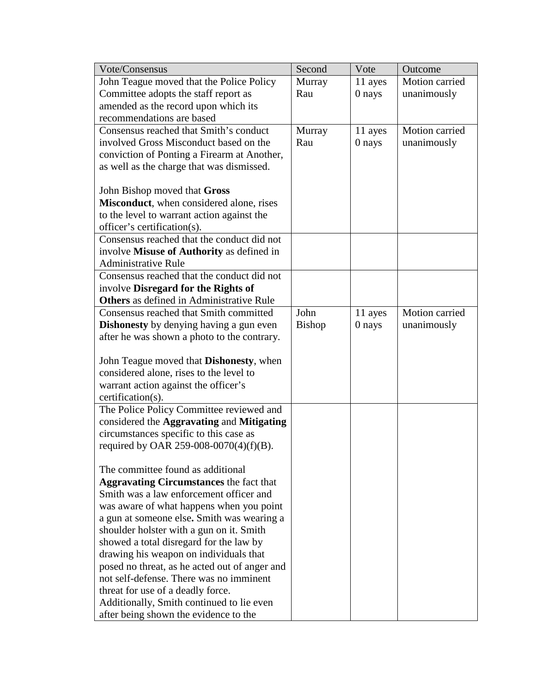| Vote/Consensus                                                                             | Second        | Vote    | Outcome        |
|--------------------------------------------------------------------------------------------|---------------|---------|----------------|
| John Teague moved that the Police Policy                                                   | Murray        | 11 ayes | Motion carried |
| Committee adopts the staff report as                                                       | Rau           | 0 nays  | unanimously    |
| amended as the record upon which its                                                       |               |         |                |
| recommendations are based                                                                  |               |         |                |
| Consensus reached that Smith's conduct                                                     | Murray        | 11 ayes | Motion carried |
| involved Gross Misconduct based on the                                                     | Rau           | 0 nays  | unanimously    |
| conviction of Ponting a Firearm at Another,                                                |               |         |                |
| as well as the charge that was dismissed.                                                  |               |         |                |
|                                                                                            |               |         |                |
| John Bishop moved that Gross                                                               |               |         |                |
| Misconduct, when considered alone, rises                                                   |               |         |                |
| to the level to warrant action against the                                                 |               |         |                |
| officer's certification(s).                                                                |               |         |                |
| Consensus reached that the conduct did not                                                 |               |         |                |
| involve Misuse of Authority as defined in                                                  |               |         |                |
| <b>Administrative Rule</b>                                                                 |               |         |                |
| Consensus reached that the conduct did not                                                 |               |         |                |
| involve Disregard for the Rights of                                                        |               |         |                |
| <b>Others</b> as defined in Administrative Rule                                            |               |         |                |
| Consensus reached that Smith committed                                                     | John          | 11 ayes | Motion carried |
| <b>Dishonesty</b> by denying having a gun even                                             | <b>Bishop</b> | 0 nays  | unanimously    |
| after he was shown a photo to the contrary.                                                |               |         |                |
|                                                                                            |               |         |                |
| John Teague moved that <b>Dishonesty</b> , when<br>considered alone, rises to the level to |               |         |                |
| warrant action against the officer's                                                       |               |         |                |
| certification(s).                                                                          |               |         |                |
| The Police Policy Committee reviewed and                                                   |               |         |                |
| considered the Aggravating and Mitigating                                                  |               |         |                |
| circumstances specific to this case as                                                     |               |         |                |
| required by OAR 259-008-0070(4)(f)(B).                                                     |               |         |                |
|                                                                                            |               |         |                |
| The committee found as additional                                                          |               |         |                |
| <b>Aggravating Circumstances</b> the fact that                                             |               |         |                |
| Smith was a law enforcement officer and                                                    |               |         |                |
| was aware of what happens when you point                                                   |               |         |                |
| a gun at someone else. Smith was wearing a                                                 |               |         |                |
| shoulder holster with a gun on it. Smith                                                   |               |         |                |
| showed a total disregard for the law by                                                    |               |         |                |
| drawing his weapon on individuals that                                                     |               |         |                |
| posed no threat, as he acted out of anger and                                              |               |         |                |
| not self-defense. There was no imminent                                                    |               |         |                |
| threat for use of a deadly force.                                                          |               |         |                |
| Additionally, Smith continued to lie even                                                  |               |         |                |
| after being shown the evidence to the                                                      |               |         |                |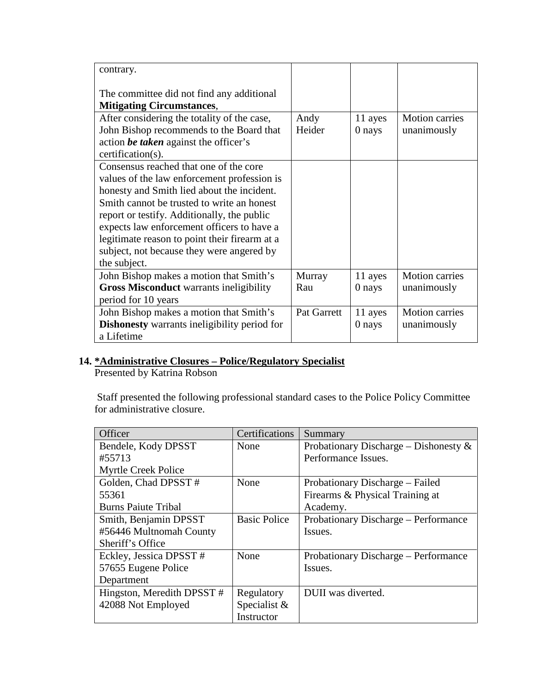| contrary.                                                                                                                                                                                                                                                                                                                                                                                    |                |                   |                                      |
|----------------------------------------------------------------------------------------------------------------------------------------------------------------------------------------------------------------------------------------------------------------------------------------------------------------------------------------------------------------------------------------------|----------------|-------------------|--------------------------------------|
| The committee did not find any additional<br><b>Mitigating Circumstances,</b>                                                                                                                                                                                                                                                                                                                |                |                   |                                      |
| After considering the totality of the case,<br>John Bishop recommends to the Board that<br>action be taken against the officer's<br>certification(s).                                                                                                                                                                                                                                        | Andy<br>Heider | 11 ayes<br>0 nays | <b>Motion carries</b><br>unanimously |
| Consensus reached that one of the core<br>values of the law enforcement profession is<br>honesty and Smith lied about the incident.<br>Smith cannot be trusted to write an honest<br>report or testify. Additionally, the public<br>expects law enforcement officers to have a<br>legitimate reason to point their firearm at a<br>subject, not because they were angered by<br>the subject. |                |                   |                                      |
| John Bishop makes a motion that Smith's<br><b>Gross Misconduct</b> warrants ineligibility<br>period for 10 years                                                                                                                                                                                                                                                                             | Murray<br>Rau  | 11 ayes<br>0 nays | <b>Motion carries</b><br>unanimously |
| John Bishop makes a motion that Smith's<br><b>Dishonesty</b> warrants ineligibility period for<br>a Lifetime                                                                                                                                                                                                                                                                                 | Pat Garrett    | 11 ayes<br>0 nays | <b>Motion carries</b><br>unanimously |

# **14. \*Administrative Closures – Police/Regulatory Specialist**

Presented by Katrina Robson

Staff presented the following professional standard cases to the Police Policy Committee for administrative closure.

| Officer                    | Certifications      | Summary                                  |
|----------------------------|---------------------|------------------------------------------|
| Bendele, Kody DPSST        | None                | Probationary Discharge – Dishonesty $\&$ |
| #55713                     |                     | Performance Issues.                      |
| Myrtle Creek Police        |                     |                                          |
| Golden, Chad DPSST #       | None                | Probationary Discharge – Failed          |
| 55361                      |                     | Firearms & Physical Training at          |
| <b>Burns Paiute Tribal</b> |                     | Academy.                                 |
| Smith, Benjamin DPSST      | <b>Basic Police</b> | Probationary Discharge – Performance     |
| #56446 Multnomah County    |                     | Issues.                                  |
| Sheriff's Office           |                     |                                          |
| Eckley, Jessica DPSST #    | None                | Probationary Discharge – Performance     |
| 57655 Eugene Police        |                     | Issues.                                  |
| Department                 |                     |                                          |
| Hingston, Meredith DPSST#  | Regulatory          | DUII was diverted.                       |
| 42088 Not Employed         | Specialist $\&$     |                                          |
|                            | Instructor          |                                          |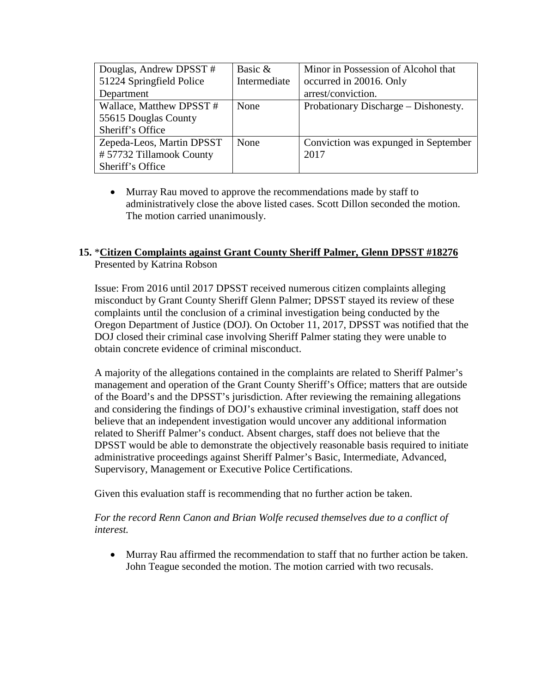| Douglas, Andrew DPSST #   | Basic &      | Minor in Possession of Alcohol that  |
|---------------------------|--------------|--------------------------------------|
| 51224 Springfield Police  | Intermediate | occurred in 20016. Only              |
| Department                |              | arrest/conviction.                   |
| Wallace, Matthew DPSST #  | None         | Probationary Discharge – Dishonesty. |
| 55615 Douglas County      |              |                                      |
| Sheriff's Office          |              |                                      |
| Zepeda-Leos, Martin DPSST | None         | Conviction was expunged in September |
| #57732 Tillamook County   |              | 2017                                 |
| Sheriff's Office          |              |                                      |

• Murray Rau moved to approve the recommendations made by staff to administratively close the above listed cases. Scott Dillon seconded the motion. The motion carried unanimously.

# **15.** \***Citizen Complaints against Grant County Sheriff Palmer, Glenn DPSST #18276** Presented by Katrina Robson

Issue: From 2016 until 2017 DPSST received numerous citizen complaints alleging misconduct by Grant County Sheriff Glenn Palmer; DPSST stayed its review of these complaints until the conclusion of a criminal investigation being conducted by the Oregon Department of Justice (DOJ). On October 11, 2017, DPSST was notified that the DOJ closed their criminal case involving Sheriff Palmer stating they were unable to obtain concrete evidence of criminal misconduct.

A majority of the allegations contained in the complaints are related to Sheriff Palmer's management and operation of the Grant County Sheriff's Office; matters that are outside of the Board's and the DPSST's jurisdiction. After reviewing the remaining allegations and considering the findings of DOJ's exhaustive criminal investigation, staff does not believe that an independent investigation would uncover any additional information related to Sheriff Palmer's conduct. Absent charges, staff does not believe that the DPSST would be able to demonstrate the objectively reasonable basis required to initiate administrative proceedings against Sheriff Palmer's Basic, Intermediate, Advanced, Supervisory, Management or Executive Police Certifications.

Given this evaluation staff is recommending that no further action be taken.

For the record Renn Canon and Brian Wolfe recused themselves due to a conflict of *interest.*

• Murray Rau affirmed the recommendation to staff that no further action be taken. John Teague seconded the motion. The motion carried with two recusals.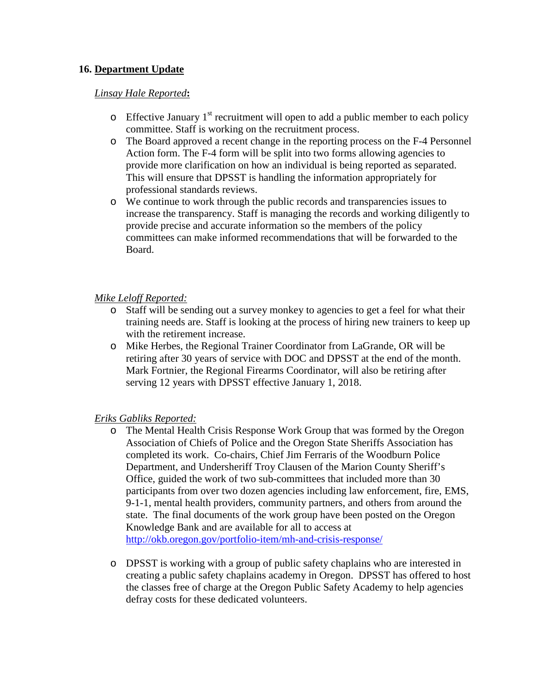# **16. Department Update**

#### *Linsay Hale Reported***:**

- $\circ$  Effective January 1<sup>st</sup> recruitment will open to add a public member to each policy committee. Staff is working on the recruitment process.
- o The Board approved a recent change in the reporting process on the F-4 Personnel Action form. The F-4 form will be split into two forms allowing agencies to provide more clarification on how an individual is being reported as separated. This will ensure that DPSST is handling the information appropriately for professional standards reviews.
- o We continue to work through the public records and transparencies issues to increase the transparency. Staff is managing the records and working diligently to provide precise and accurate information so the members of the policy committees can make informed recommendations that will be forwarded to the Board.

#### *Mike Leloff Reported:*

- o Staff will be sending out a survey monkey to agencies to get a feel for what their training needs are. Staff is looking at the process of hiring new trainers to keep up with the retirement increase.
- o Mike Herbes, the Regional Trainer Coordinator from LaGrande, OR will be retiring after 30 years of service with DOC and DPSST at the end of the month. Mark Fortnier, the Regional Firearms Coordinator, will also be retiring after serving 12 years with DPSST effective January 1, 2018.

#### *Eriks Gabliks Reported:*

- o The Mental Health Crisis Response Work Group that was formed by the Oregon Association of Chiefs of Police and the Oregon State Sheriffs Association has completed its work. Co-chairs, Chief Jim Ferraris of the Woodburn Police Department, and Undersheriff Troy Clausen of the Marion County Sheriff's Office, guided the work of two sub-committees that included more than 30 participants from over two dozen agencies including law enforcement, fire, EMS, 9-1-1, mental health providers, community partners, and others from around the state. The final documents of the work group have been posted on the Oregon Knowledge Bank and are available for all to access at <http://okb.oregon.gov/portfolio-item/mh-and-crisis-response/>
- o DPSST is working with a group of public safety chaplains who are interested in creating a public safety chaplains academy in Oregon. DPSST has offered to host the classes free of charge at the Oregon Public Safety Academy to help agencies defray costs for these dedicated volunteers.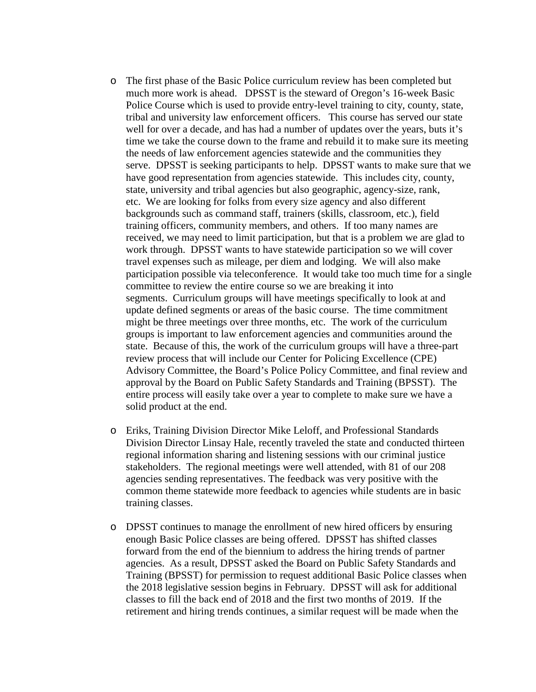- o The first phase of the Basic Police curriculum review has been completed but much more work is ahead. DPSST is the steward of Oregon's 16-week Basic Police Course which is used to provide entry-level training to city, county, state, tribal and university law enforcement officers. This course has served our state well for over a decade, and has had a number of updates over the years, buts it's time we take the course down to the frame and rebuild it to make sure its meeting the needs of law enforcement agencies statewide and the communities they serve. DPSST is seeking participants to help. DPSST wants to make sure that we have good representation from agencies statewide. This includes city, county, state, university and tribal agencies but also geographic, agency-size, rank, etc. We are looking for folks from every size agency and also different backgrounds such as command staff, trainers (skills, classroom, etc.), field training officers, community members, and others. If too many names are received, we may need to limit participation, but that is a problem we are glad to work through. DPSST wants to have statewide participation so we will cover travel expenses such as mileage, per diem and lodging. We will also make participation possible via teleconference. It would take too much time for a single committee to review the entire course so we are breaking it into segments. Curriculum groups will have meetings specifically to look at and update defined segments or areas of the basic course. The time commitment might be three meetings over three months, etc. The work of the curriculum groups is important to law enforcement agencies and communities around the state. Because of this, the work of the curriculum groups will have a three-part review process that will include our Center for Policing Excellence (CPE) Advisory Committee, the Board's Police Policy Committee, and final review and approval by the Board on Public Safety Standards and Training (BPSST). The entire process will easily take over a year to complete to make sure we have a solid product at the end.
- o Eriks, Training Division Director Mike Leloff, and Professional Standards Division Director Linsay Hale, recently traveled the state and conducted thirteen regional information sharing and listening sessions with our criminal justice stakeholders. The regional meetings were well attended, with 81 of our 208 agencies sending representatives. The feedback was very positive with the common theme statewide more feedback to agencies while students are in basic training classes.
- o DPSST continues to manage the enrollment of new hired officers by ensuring enough Basic Police classes are being offered. DPSST has shifted classes forward from the end of the biennium to address the hiring trends of partner agencies. As a result, DPSST asked the Board on Public Safety Standards and Training (BPSST) for permission to request additional Basic Police classes when the 2018 legislative session begins in February. DPSST will ask for additional classes to fill the back end of 2018 and the first two months of 2019. If the retirement and hiring trends continues, a similar request will be made when the